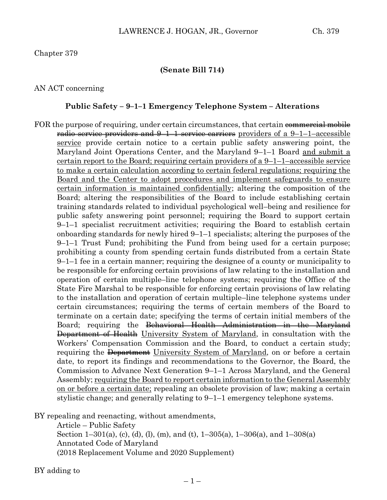### **(Senate Bill 714)**

## AN ACT concerning

### **Public Safety – 9–1–1 Emergency Telephone System – Alterations**

FOR the purpose of requiring, under certain circumstances, that certain commercial mobile radio service providers and  $9-1-1$  service carriers providers of a  $9-1-1$ -accessible service provide certain notice to a certain public safety answering point, the Maryland Joint Operations Center, and the Maryland 9–1–1 Board <u>and submit a</u> certain report to the Board; requiring certain providers of a 9–1–1–accessible service to make a certain calculation according to certain federal regulations; requiring the Board and the Center to adopt procedures and implement safeguards to ensure certain information is maintained confidentially; altering the composition of the Board; altering the responsibilities of the Board to include establishing certain training standards related to individual psychological well–being and resilience for public safety answering point personnel; requiring the Board to support certain 9–1–1 specialist recruitment activities; requiring the Board to establish certain onboarding standards for newly hired 9–1–1 specialists; altering the purposes of the 9–1–1 Trust Fund; prohibiting the Fund from being used for a certain purpose; prohibiting a county from spending certain funds distributed from a certain State 9–1–1 fee in a certain manner; requiring the designee of a county or municipality to be responsible for enforcing certain provisions of law relating to the installation and operation of certain multiple–line telephone systems; requiring the Office of the State Fire Marshal to be responsible for enforcing certain provisions of law relating to the installation and operation of certain multiple–line telephone systems under certain circumstances; requiring the terms of certain members of the Board to terminate on a certain date; specifying the terms of certain initial members of the Board; requiring the Behavioral Health Administration in the Maryland Department of Health University System of Maryland, in consultation with the Workers' Compensation Commission and the Board, to conduct a certain study; requiring the Department University System of Maryland, on or before a certain date, to report its findings and recommendations to the Governor, the Board, the Commission to Advance Next Generation 9–1–1 Across Maryland, and the General Assembly; requiring the Board to report certain information to the General Assembly on or before a certain date; repealing an obsolete provision of law; making a certain stylistic change; and generally relating to 9–1–1 emergency telephone systems.

BY repealing and reenacting, without amendments,

Article – Public Safety Section 1–301(a), (c), (d), (l), (m), and (t),  $1-305(a)$ ,  $1-306(a)$ , and  $1-308(a)$ Annotated Code of Maryland (2018 Replacement Volume and 2020 Supplement)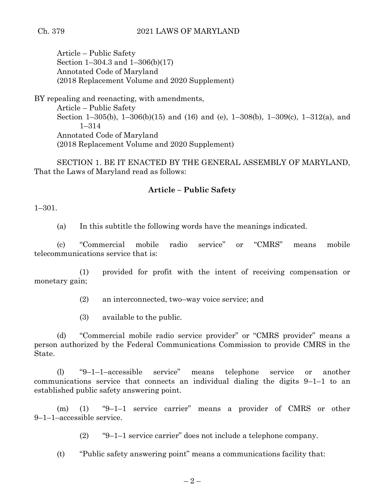## Ch. 379 2021 LAWS OF MARYLAND

Article – Public Safety Section 1–304.3 and 1–306(b)(17) Annotated Code of Maryland (2018 Replacement Volume and 2020 Supplement)

BY repealing and reenacting, with amendments, Article – Public Safety Section 1–305(b), 1–306(b)(15) and (16) and (e), 1–308(b), 1–309(c), 1–312(a), and 1–314 Annotated Code of Maryland (2018 Replacement Volume and 2020 Supplement)

SECTION 1. BE IT ENACTED BY THE GENERAL ASSEMBLY OF MARYLAND, That the Laws of Maryland read as follows:

## **Article – Public Safety**

1–301.

(a) In this subtitle the following words have the meanings indicated.

(c) "Commercial mobile radio service" or "CMRS" means mobile telecommunications service that is:

(1) provided for profit with the intent of receiving compensation or monetary gain;

(2) an interconnected, two–way voice service; and

(3) available to the public.

(d) "Commercial mobile radio service provider" or "CMRS provider" means a person authorized by the Federal Communications Commission to provide CMRS in the State.

(l) "9–1–1–accessible service" means telephone service or another communications service that connects an individual dialing the digits 9–1–1 to an established public safety answering point.

(m) (1) "9–1–1 service carrier" means a provider of CMRS or other 9–1–1–accessible service.

(2) "9–1–1 service carrier" does not include a telephone company.

(t) "Public safety answering point" means a communications facility that: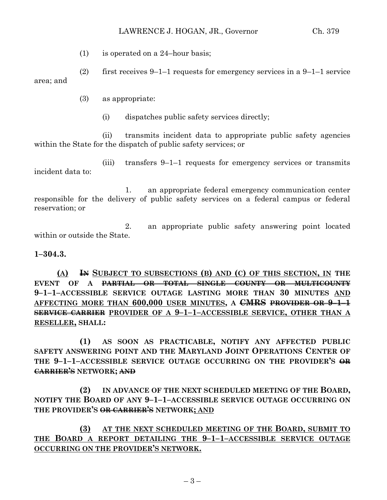(1) is operated on a 24–hour basis;

(2) first receives  $9-1-1$  requests for emergency services in a  $9-1-1$  service area; and

- (3) as appropriate:
	- (i) dispatches public safety services directly;

(ii) transmits incident data to appropriate public safety agencies within the State for the dispatch of public safety services; or

(iii) transfers 9–1–1 requests for emergency services or transmits incident data to:

1. an appropriate federal emergency communication center responsible for the delivery of public safety services on a federal campus or federal reservation; or

2. an appropriate public safety answering point located within or outside the State.

**1–304.3.**

**(A) IN SUBJECT TO SUBSECTIONS (B) AND (C) OF THIS SECTION, IN THE EVENT OF A PARTIAL OR TOTAL SINGLE COUNTY OR MULTICOUNTY 9–1–1–ACCESSIBLE SERVICE OUTAGE LASTING MORE THAN 30 MINUTES AND AFFECTING MORE THAN 600,000 USER MINUTES, A CMRS PROVIDER OR 9–1–1 SERVICE CARRIER PROVIDER OF A 9–1–1–ACCESSIBLE SERVICE, OTHER THAN A RESELLER, SHALL:**

**(1) AS SOON AS PRACTICABLE, NOTIFY ANY AFFECTED PUBLIC SAFETY ANSWERING POINT AND THE MARYLAND JOINT OPERATIONS CENTER OF THE 9–1–1–ACCESSIBLE SERVICE OUTAGE OCCURRING ON THE PROVIDER'S OR CARRIER'S NETWORK; AND**

**(2) IN ADVANCE OF THE NEXT SCHEDULED MEETING OF THE BOARD, NOTIFY THE BOARD OF ANY 9–1–1–ACCESSIBLE SERVICE OUTAGE OCCURRING ON THE PROVIDER'S OR CARRIER'S NETWORK; AND**

**(3) AT THE NEXT SCHEDULED MEETING OF THE BOARD, SUBMIT TO THE BOARD A REPORT DETAILING THE 9–1–1–ACCESSIBLE SERVICE OUTAGE OCCURRING ON THE PROVIDER'S NETWORK.**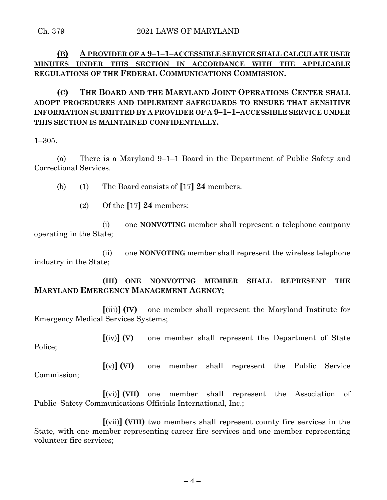# **(B) A PROVIDER OF A 9–1–1–ACCESSIBLE SERVICE SHALL CALCULATE USER MINUTES UNDER THIS SECTION IN ACCORDANCE WITH THE APPLICABLE REGULATIONS OF THE FEDERAL COMMUNICATIONS COMMISSION.**

# **(C) THE BOARD AND THE MARYLAND JOINT OPERATIONS CENTER SHALL ADOPT PROCEDURES AND IMPLEMENT SAFEGUARDS TO ENSURE THAT SENSITIVE INFORMATION SUBMITTED BY A PROVIDER OF A 9–1–1–ACCESSIBLE SERVICE UNDER THIS SECTION IS MAINTAINED CONFIDENTIALLY.**

1–305.

(a) There is a Maryland 9–1–1 Board in the Department of Public Safety and Correctional Services.

(b) (1) The Board consists of **[**17**] 24** members.

(2) Of the **[**17**] 24** members:

(i) one **NONVOTING** member shall represent a telephone company operating in the State;

(ii) one **NONVOTING** member shall represent the wireless telephone industry in the State;

**(III) ONE NONVOTING MEMBER SHALL REPRESENT THE MARYLAND EMERGENCY MANAGEMENT AGENCY;**

**[**(iii)**] (IV)** one member shall represent the Maryland Institute for Emergency Medical Services Systems;

**[**(iv)**] (V)** one member shall represent the Department of State Police;

**[**(v)**] (VI)** one member shall represent the Public Service Commission;

**[**(vi)**] (VII)** one member shall represent the Association of Public–Safety Communications Officials International, Inc.;

**[**(vii)**] (VIII)** two members shall represent county fire services in the State, with one member representing career fire services and one member representing volunteer fire services;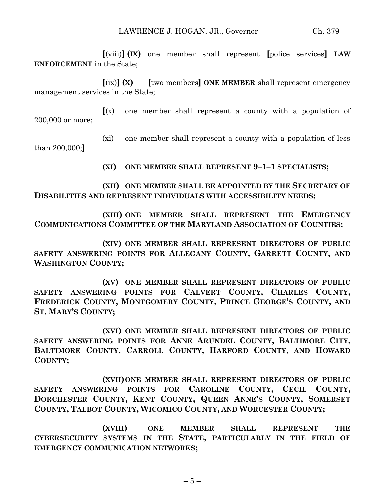**[**(viii)**] (IX)** one member shall represent **[**police services**] LAW ENFORCEMENT** in the State;

**[**(ix)**] (X) [**two members**] ONE MEMBER** shall represent emergency management services in the State;

**[**(x) one member shall represent a county with a population of 200,000 or more;

(xi) one member shall represent a county with a population of less than 200,000;**]**

**(XI) ONE MEMBER SHALL REPRESENT 9–1–1 SPECIALISTS;**

## **(XII) ONE MEMBER SHALL BE APPOINTED BY THE SECRETARY OF DISABILITIES AND REPRESENT INDIVIDUALS WITH ACCESSIBILITY NEEDS;**

**(XIII) ONE MEMBER SHALL REPRESENT THE EMERGENCY COMMUNICATIONS COMMITTEE OF THE MARYLAND ASSOCIATION OF COUNTIES;**

**(XIV) ONE MEMBER SHALL REPRESENT DIRECTORS OF PUBLIC SAFETY ANSWERING POINTS FOR ALLEGANY COUNTY, GARRETT COUNTY, AND WASHINGTON COUNTY;**

**(XV) ONE MEMBER SHALL REPRESENT DIRECTORS OF PUBLIC SAFETY ANSWERING POINTS FOR CALVERT COUNTY, CHARLES COUNTY, FREDERICK COUNTY, MONTGOMERY COUNTY, PRINCE GEORGE'S COUNTY, AND ST. MARY'S COUNTY;**

**(XVI) ONE MEMBER SHALL REPRESENT DIRECTORS OF PUBLIC SAFETY ANSWERING POINTS FOR ANNE ARUNDEL COUNTY, BALTIMORE CITY, BALTIMORE COUNTY, CARROLL COUNTY, HARFORD COUNTY, AND HOWARD COUNTY;**

**(XVII)ONE MEMBER SHALL REPRESENT DIRECTORS OF PUBLIC SAFETY ANSWERING POINTS FOR CAROLINE COUNTY, CECIL COUNTY, DORCHESTER COUNTY, KENT COUNTY, QUEEN ANNE'S COUNTY, SOMERSET COUNTY, TALBOT COUNTY, WICOMICO COUNTY, AND WORCESTER COUNTY;**

**(XVIII) ONE MEMBER SHALL REPRESENT THE CYBERSECURITY SYSTEMS IN THE STATE, PARTICULARLY IN THE FIELD OF EMERGENCY COMMUNICATION NETWORKS;**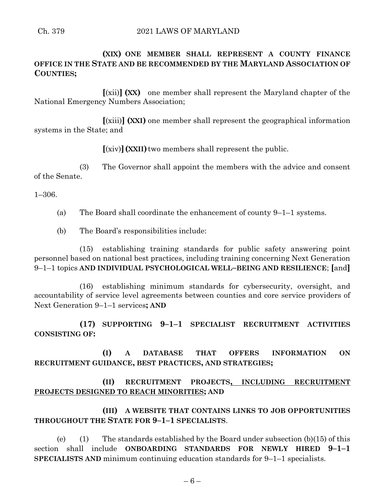**(XIX) ONE MEMBER SHALL REPRESENT A COUNTY FINANCE OFFICE IN THE STATE AND BE RECOMMENDED BY THE MARYLAND ASSOCIATION OF COUNTIES;**

**[**(xii)**] (XX)** one member shall represent the Maryland chapter of the National Emergency Numbers Association;

**[**(xiii)**] (XXI)** one member shall represent the geographical information systems in the State; and

**[**(xiv)**](XXII)**two members shall represent the public.

(3) The Governor shall appoint the members with the advice and consent of the Senate.

1–306.

(a) The Board shall coordinate the enhancement of county 9–1–1 systems.

(b) The Board's responsibilities include:

(15) establishing training standards for public safety answering point personnel based on national best practices, including training concerning Next Generation 9–1–1 topics **AND INDIVIDUAL PSYCHOLOGICAL WELL–BEING AND RESILIENCE**; **[**and**]**

(16) establishing minimum standards for cybersecurity, oversight, and accountability of service level agreements between counties and core service providers of Next Generation 9–1–1 services**; AND**

**(17) SUPPORTING 9–1–1 SPECIALIST RECRUITMENT ACTIVITIES CONSISTING OF:**

**(I) A DATABASE THAT OFFERS INFORMATION ON RECRUITMENT GUIDANCE, BEST PRACTICES, AND STRATEGIES;**

**(II) RECRUITMENT PROJECTS, INCLUDING RECRUITMENT PROJECTS DESIGNED TO REACH MINORITIES; AND**

**(III) A WEBSITE THAT CONTAINS LINKS TO JOB OPPORTUNITIES THROUGHOUT THE STATE FOR 9–1–1 SPECIALISTS**.

(e) (1) The standards established by the Board under subsection  $(b)(15)$  of this section shall include **ONBOARDING STANDARDS FOR NEWLY HIRED 9–1–1 SPECIALISTS AND** minimum continuing education standards for 9–1–1 specialists.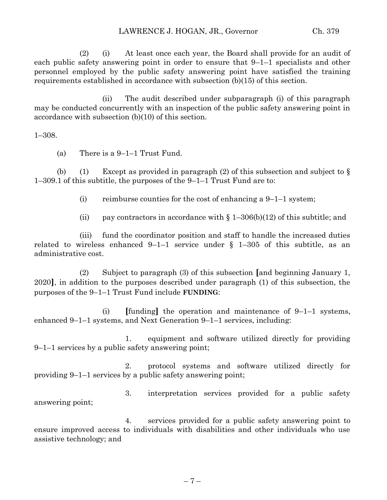(2) (i) At least once each year, the Board shall provide for an audit of each public safety answering point in order to ensure that 9–1–1 specialists and other personnel employed by the public safety answering point have satisfied the training requirements established in accordance with subsection (b)(15) of this section.

(ii) The audit described under subparagraph (i) of this paragraph may be conducted concurrently with an inspection of the public safety answering point in accordance with subsection (b)(10) of this section.

1–308.

(a) There is a 9–1–1 Trust Fund.

(b) (1) Except as provided in paragraph (2) of this subsection and subject to  $\S$ 1–309.1 of this subtitle, the purposes of the 9–1–1 Trust Fund are to:

(i) reimburse counties for the cost of enhancing a  $9-1-1$  system;

(ii) pay contractors in accordance with  $\S 1-306(b)(12)$  of this subtitle; and

(iii) fund the coordinator position and staff to handle the increased duties related to wireless enhanced 9–1–1 service under  $\S$  1–305 of this subtitle, as an administrative cost.

(2) Subject to paragraph (3) of this subsection **[**and beginning January 1, 2020**]**, in addition to the purposes described under paragraph (1) of this subsection, the purposes of the 9–1–1 Trust Fund include **FUNDING**:

(i) **[**funding**]** the operation and maintenance of 9–1–1 systems, enhanced 9–1–1 systems, and Next Generation 9–1–1 services, including:

1. equipment and software utilized directly for providing 9–1–1 services by a public safety answering point;

2. protocol systems and software utilized directly for providing 9–1–1 services by a public safety answering point;

3. interpretation services provided for a public safety answering point;

4. services provided for a public safety answering point to ensure improved access to individuals with disabilities and other individuals who use assistive technology; and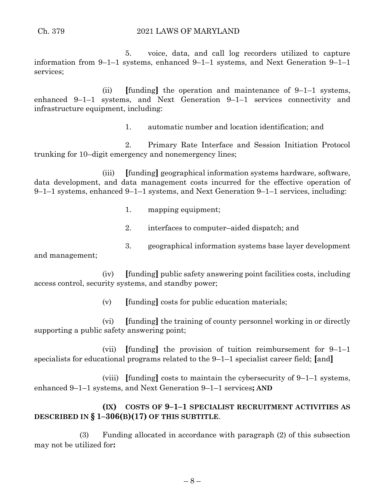#### Ch. 379 2021 LAWS OF MARYLAND

5. voice, data, and call log recorders utilized to capture information from 9–1–1 systems, enhanced 9–1–1 systems, and Next Generation 9–1–1 services;

(ii) **[**funding**]** the operation and maintenance of 9–1–1 systems, enhanced 9–1–1 systems, and Next Generation 9–1–1 services connectivity and infrastructure equipment, including:

1. automatic number and location identification; and

2. Primary Rate Interface and Session Initiation Protocol trunking for 10–digit emergency and nonemergency lines;

(iii) **[**funding**]** geographical information systems hardware, software, data development, and data management costs incurred for the effective operation of 9–1–1 systems, enhanced 9–1–1 systems, and Next Generation 9–1–1 services, including:

- 1. mapping equipment;
- 2. interfaces to computer–aided dispatch; and
- 3. geographical information systems base layer development

and management;

(iv) **[**funding**]** public safety answering point facilities costs, including access control, security systems, and standby power;

(v) **[**funding**]** costs for public education materials;

(vi) **[**funding**]** the training of county personnel working in or directly supporting a public safety answering point;

(vii) **[**funding**]** the provision of tuition reimbursement for 9–1–1 specialists for educational programs related to the 9–1–1 specialist career field; **[**and**]**

(viii) **[**funding**]** costs to maintain the cybersecurity of 9–1–1 systems, enhanced 9–1–1 systems, and Next Generation 9–1–1 services**; AND**

# **(IX) COSTS OF 9–1–1 SPECIALIST RECRUITMENT ACTIVITIES AS DESCRIBED IN § 1–306(B)(17) OF THIS SUBTITLE**.

(3) Funding allocated in accordance with paragraph (2) of this subsection may not be utilized for**:**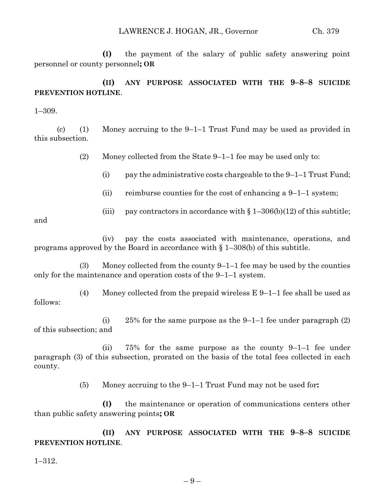**(I)** the payment of the salary of public safety answering point personnel or county personnel**; OR**

# **(II) ANY PURPOSE ASSOCIATED WITH THE 9–8–8 SUICIDE PREVENTION HOTLINE**.

1–309.

(c) (1) Money accruing to the  $9-1-1$  Trust Fund may be used as provided in this subsection.

(2) Money collected from the State 9–1–1 fee may be used only to:

(i) pay the administrative costs chargeable to the  $9-1-1$  Trust Fund;

- (ii) reimburse counties for the cost of enhancing a  $9-1-1$  system;
- (iii) pay contractors in accordance with  $\S 1-306(b)(12)$  of this subtitle;

and

(iv) pay the costs associated with maintenance, operations, and programs approved by the Board in accordance with § 1–308(b) of this subtitle.

(3) Money collected from the county 9–1–1 fee may be used by the counties only for the maintenance and operation costs of the 9–1–1 system.

(4) Money collected from the prepaid wireless  $E\left(9-1\right)-1$  fee shall be used as follows:

(i) 25% for the same purpose as the 9–1–1 fee under paragraph  $(2)$ of this subsection; and

(ii) 75% for the same purpose as the county 9–1–1 fee under paragraph (3) of this subsection, prorated on the basis of the total fees collected in each county.

(5) Money accruing to the 9–1–1 Trust Fund may not be used for**:**

**(I)** the maintenance or operation of communications centers other than public safety answering points**; OR**

**(II) ANY PURPOSE ASSOCIATED WITH THE 9–8–8 SUICIDE PREVENTION HOTLINE**.

1–312.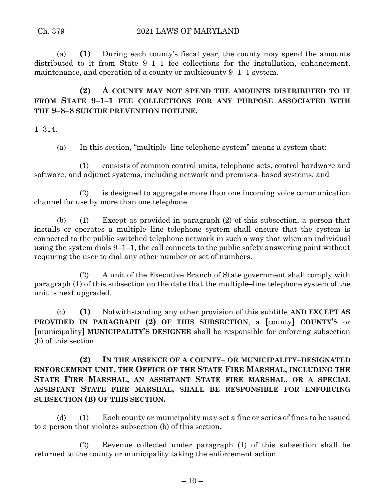(a) **(1)** During each county's fiscal year, the county may spend the amounts distributed to it from State 9–1–1 fee collections for the installation, enhancement, maintenance, and operation of a county or multicounty 9–1–1 system.

**(2) A COUNTY MAY NOT SPEND THE AMOUNTS DISTRIBUTED TO IT FROM STATE 9–1–1 FEE COLLECTIONS FOR ANY PURPOSE ASSOCIATED WITH THE 9–8–8 SUICIDE PREVENTION HOTLINE.**

1–314.

(a) In this section, "multiple–line telephone system" means a system that:

(1) consists of common control units, telephone sets, control hardware and software, and adjunct systems, including network and premises–based systems; and

(2) is designed to aggregate more than one incoming voice communication channel for use by more than one telephone.

(b) (1) Except as provided in paragraph (2) of this subsection, a person that installs or operates a multiple–line telephone system shall ensure that the system is connected to the public switched telephone network in such a way that when an individual using the system dials 9–1–1, the call connects to the public safety answering point without requiring the user to dial any other number or set of numbers.

(2) A unit of the Executive Branch of State government shall comply with paragraph (1) of this subsection on the date that the multiple–line telephone system of the unit is next upgraded.

(c) **(1)** Notwithstanding any other provision of this subtitle **AND EXCEPT AS PROVIDED IN PARAGRAPH (2) OF THIS SUBSECTION**, a **[**county**] COUNTY'S** or **[**municipality**] MUNICIPALITY'S DESIGNEE** shall be responsible for enforcing subsection (b) of this section.

**(2) IN THE ABSENCE OF A COUNTY– OR MUNICIPALITY–DESIGNATED ENFORCEMENT UNIT, THE OFFICE OF THE STATE FIRE MARSHAL, INCLUDING THE STATE FIRE MARSHAL, AN ASSISTANT STATE FIRE MARSHAL, OR A SPECIAL ASSISTANT STATE FIRE MARSHAL, SHALL BE RESPONSIBLE FOR ENFORCING SUBSECTION (B) OF THIS SECTION.**

(d) (1) Each county or municipality may set a fine or series of fines to be issued to a person that violates subsection (b) of this section.

(2) Revenue collected under paragraph (1) of this subsection shall be returned to the county or municipality taking the enforcement action.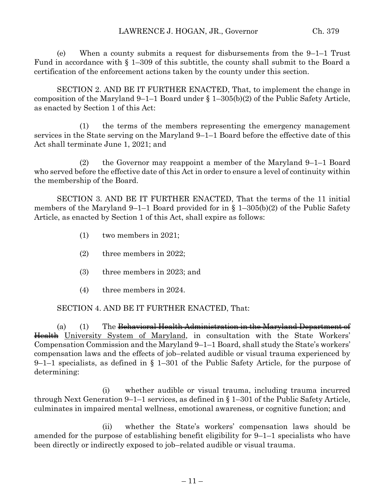(e) When a county submits a request for disbursements from the 9–1–1 Trust Fund in accordance with § 1–309 of this subtitle, the county shall submit to the Board a certification of the enforcement actions taken by the county under this section.

SECTION 2. AND BE IT FURTHER ENACTED, That, to implement the change in composition of the Maryland 9–1–1 Board under § 1–305(b)(2) of the Public Safety Article, as enacted by Section 1 of this Act:

(1) the terms of the members representing the emergency management services in the State serving on the Maryland 9–1–1 Board before the effective date of this Act shall terminate June 1, 2021; and

(2) the Governor may reappoint a member of the Maryland 9–1–1 Board who served before the effective date of this Act in order to ensure a level of continuity within the membership of the Board.

SECTION 3. AND BE IT FURTHER ENACTED, That the terms of the 11 initial members of the Maryland 9–1–1 Board provided for in § 1–305(b)(2) of the Public Safety Article, as enacted by Section 1 of this Act, shall expire as follows:

- (1) two members in 2021;
- (2) three members in 2022;
- (3) three members in 2023; and
- (4) three members in 2024.

SECTION 4. AND BE IT FURTHER ENACTED, That:

(a) (1) The Behavioral Health Administration in the Maryland Department of Health University System of Maryland, in consultation with the State Workers' Compensation Commission and the Maryland 9–1–1 Board, shall study the State's workers' compensation laws and the effects of job–related audible or visual trauma experienced by 9–1–1 specialists, as defined in § 1–301 of the Public Safety Article, for the purpose of determining:

(i) whether audible or visual trauma, including trauma incurred through Next Generation 9–1–1 services, as defined in § 1–301 of the Public Safety Article, culminates in impaired mental wellness, emotional awareness, or cognitive function; and

(ii) whether the State's workers' compensation laws should be amended for the purpose of establishing benefit eligibility for 9–1–1 specialists who have been directly or indirectly exposed to job–related audible or visual trauma.